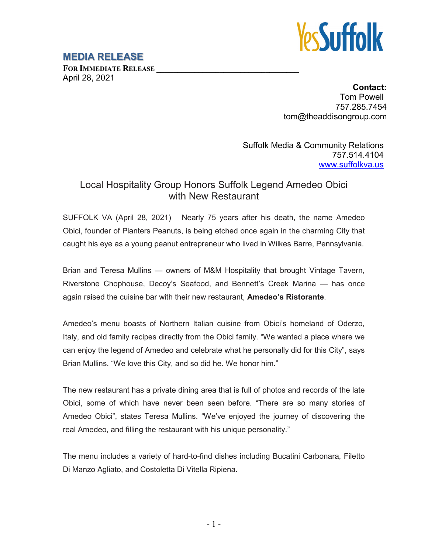

## **MEDIA RELEASE**

FOR **IMMEDIATE RELEASE** April 28, 2021

> **Contact:** Tom Powell 757.285.7454 tom@theaddisongroup.com

Suffolk Media & Community Relations 757.514.4104 [www.suffolkva.us](http://www.suffolkva.us/)

## Local Hospitality Group Honors Suffolk Legend Amedeo Obici with New Restaurant

SUFFOLK VA (April 28, 2021) Nearly 75 years after his death, the name Amedeo Obici, founder of Planters Peanuts, is being etched once again in the charming City that caught his eye as a young peanut entrepreneur who lived in Wilkes Barre, Pennsylvania.

Brian and Teresa Mullins — owners of M&M Hospitality that brought Vintage Tavern, Riverstone Chophouse, Decoy's Seafood, and Bennett's Creek Marina — has once again raised the cuisine bar with their new restaurant, **Amedeo's Ristorante**.

Amedeo's menu boasts of Northern Italian cuisine from Obici's homeland of Oderzo, Italy, and old family recipes directly from the Obici family. "We wanted a place where we can enjoy the legend of Amedeo and celebrate what he personally did for this City", says Brian Mullins. "We love this City, and so did he. We honor him."

The new restaurant has a private dining area that is full of photos and records of the late Obici, some of which have never been seen before. "There are so many stories of Amedeo Obici", states Teresa Mullins. "We've enjoyed the journey of discovering the real Amedeo, and filling the restaurant with his unique personality."

The menu includes a variety of hard-to-find dishes including Bucatini Carbonara, Filetto Di Manzo Agliato, and Costoletta Di Vitella Ripiena.